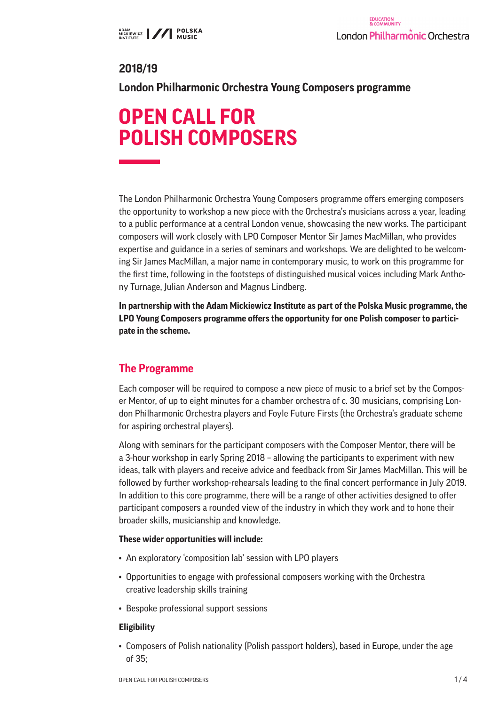# **2018/19**

**London Philharmonic Orchestra Young Composers programme**

# **OPEN CALL FOR POLISH COMPOSERS**

The London Philharmonic Orchestra Young Composers programme offers emerging composers the opportunity to workshop a new piece with the Orchestra's musicians across a year, leading to a public performance at a central London venue, showcasing the new works. The participant composers will work closely with LPO Composer Mentor Sir James MacMillan, who provides expertise and guidance in a series of seminars and workshops. We are delighted to be welcoming Sir James MacMillan, a major name in contemporary music, to work on this programme for the first time, following in the footsteps of distinguished musical voices including Mark Anthony Turnage, Julian Anderson and Magnus Lindberg.

**In partnership with the Adam Mickiewicz Institute as part of the Polska Music programme, the LPO Young Composers programme offers the opportunity for one Polish composer to participate in the scheme.**

# **The Programme**

Each composer will be required to compose a new piece of music to a brief set by the Composer Mentor, of up to eight minutes for a chamber orchestra of c. 30 musicians, comprising London Philharmonic Orchestra players and Foyle Future Firsts (the Orchestra's graduate scheme for aspiring orchestral players).

Along with seminars for the participant composers with the Composer Mentor, there will be a 3-hour workshop in early Spring 2018 – allowing the participants to experiment with new ideas, talk with players and receive advice and feedback from Sir James MacMillan. This will be followed by further workshop-rehearsals leading to the final concert performance in July 2019. In addition to this core programme, there will be a range of other activities designed to offer participant composers a rounded view of the industry in which they work and to hone their broader skills, musicianship and knowledge.

#### **These wider opportunities will include:**

- An exploratory 'composition lab' session with LPO players
- Opportunities to engage with professional composers working with the Orchestra creative leadership skills training
- Bespoke professional support sessions

#### **Eligibility**

• Composers of Polish nationality (Polish passport holders), based in Europe, under the age of 35;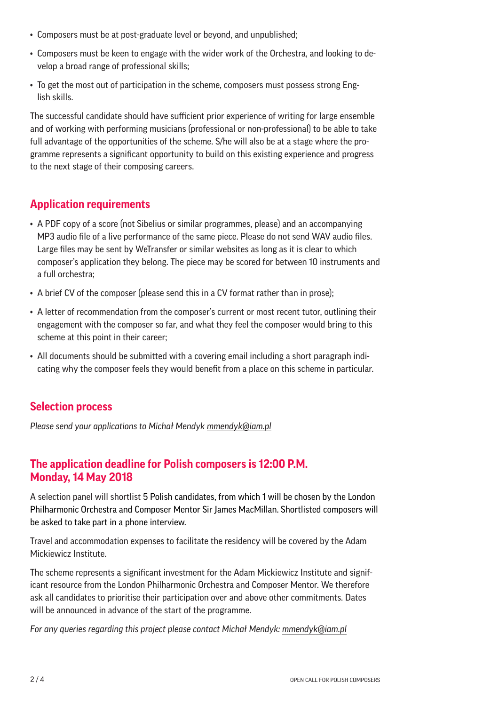- Composers must be at post-graduate level or beyond, and unpublished;
- Composers must be keen to engage with the wider work of the Orchestra, and looking to develop a broad range of professional skills;
- To get the most out of participation in the scheme, composers must possess strong English skills.

The successful candidate should have sufficient prior experience of writing for large ensemble and of working with performing musicians (professional or non-professional) to be able to take full advantage of the opportunities of the scheme. S/he will also be at a stage where the programme represents a significant opportunity to build on this existing experience and progress to the next stage of their composing careers.

### **Application requirements**

- A PDF copy of a score (not Sibelius or similar programmes, please) and an accompanying MP3 audio file of a live performance of the same piece. Please do not send WAV audio files. Large files may be sent by WeTransfer or similar websites as long as it is clear to which composer's application they belong. The piece may be scored for between 10 instruments and a full orchestra;
- A brief CV of the composer (please send this in a CV format rather than in prose);
- A letter of recommendation from the composer's current or most recent tutor, outlining their engagement with the composer so far, and what they feel the composer would bring to this scheme at this point in their career;
- All documents should be submitted with a covering email including a short paragraph indicating why the composer feels they would benefit from a place on this scheme in particular.

#### **Selection process**

*Please send your applications to Michał Mendyk mmendyk@iam.pl*

# **The application deadline for Polish composers is 12:00 P.M. Monday, 14 May 2018**

A selection panel will shortlist 5 Polish candidates, from which 1 will be chosen by the London Philharmonic Orchestra and Composer Mentor Sir James MacMillan. Shortlisted composers will be asked to take part in a phone interview.

Travel and accommodation expenses to facilitate the residency will be covered by the Adam Mickiewicz Institute.

The scheme represents a significant investment for the Adam Mickiewicz Institute and significant resource from the London Philharmonic Orchestra and Composer Mentor. We therefore ask all candidates to prioritise their participation over and above other commitments. Dates will be announced in advance of the start of the programme.

*For any queries regarding this project please contact Michał Mendyk: mmendyk@iam.pl*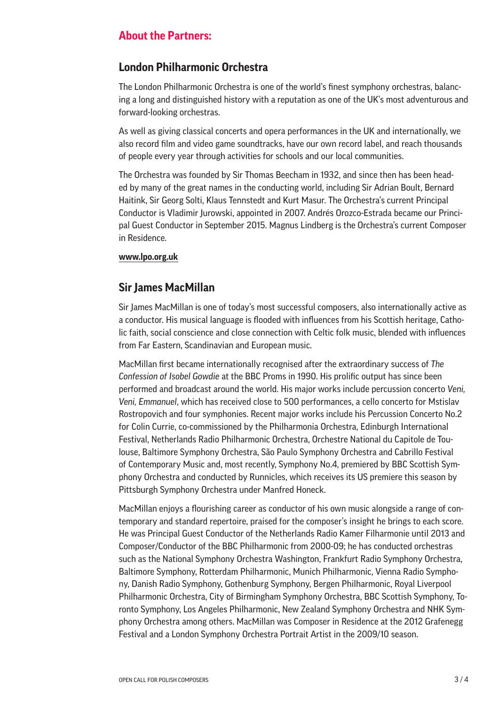#### **About the Partners:**

#### **London Philharmonic Orchestra**

The London Philharmonic Orchestra is one of the world's finest symphony orchestras, balancing a long and distinguished history with a reputation as one of the UK's most adventurous and forward-looking orchestras.

As well as giving classical concerts and opera performances in the UK and internationally, we also record film and video game soundtracks, have our own record label, and reach thousands of people every year through activities for schools and our local communities.

The Orchestra was founded by Sir Thomas Beecham in 1932, and since then has been headed by many of the great names in the conducting world, including Sir Adrian Boult, Bernard Haitink, Sir Georg Solti, Klaus Tennstedt and Kurt Masur. The Orchestra's current Principal Conductor is Vladimir Jurowski, appointed in 2007. Andrés Orozco-Estrada became our Principal Guest Conductor in September 2015. Magnus Lindberg is the Orchestra's current Composer in Residence.

#### **www.lpo.org.uk**

#### **Sir James MacMillan**

Sir James MacMillan is one of today's most successful composers, also internationally active as a conductor. His musical language is flooded with influences from his Scottish heritage, Catholic faith, social conscience and close connection with Celtic folk music, blended with influences from Far Eastern, Scandinavian and European music.

MacMillan first became internationally recognised after the extraordinary success of *The Confession of Isobel Gowdie* at the BBC Proms in 1990. His prolific output has since been performed and broadcast around the world. His major works include percussion concerto *Veni, Veni, Emmanuel*, which has received close to 500 performances, a cello concerto for Mstislav Rostropovich and four symphonies. Recent major works include his Percussion Concerto No.2 for Colin Currie, co-commissioned by the Philharmonia Orchestra, Edinburgh International Festival, Netherlands Radio Philharmonic Orchestra, Orchestre National du Capitole de Toulouse, Baltimore Symphony Orchestra, São Paulo Symphony Orchestra and Cabrillo Festival of Contemporary Music and, most recently, Symphony No.4, premiered by BBC Scottish Symphony Orchestra and conducted by Runnicles, which receives its US premiere this season by Pittsburgh Symphony Orchestra under Manfred Honeck.

MacMillan enjoys a flourishing career as conductor of his own music alongside a range of contemporary and standard repertoire, praised for the composer's insight he brings to each score. He was Principal Guest Conductor of the Netherlands Radio Kamer Filharmonie until 2013 and Composer/Conductor of the BBC Philharmonic from 2000-09; he has conducted orchestras such as the National Symphony Orchestra Washington, Frankfurt Radio Symphony Orchestra, Baltimore Symphony, Rotterdam Philharmonic, Munich Philharmonic, Vienna Radio Symphony, Danish Radio Symphony, Gothenburg Symphony, Bergen Philharmonic, Royal Liverpool Philharmonic Orchestra, City of Birmingham Symphony Orchestra, BBC Scottish Symphony, Toronto Symphony, Los Angeles Philharmonic, New Zealand Symphony Orchestra and NHK Symphony Orchestra among others. MacMillan was Composer in Residence at the 2012 Grafenegg Festival and a London Symphony Orchestra Portrait Artist in the 2009/10 season.